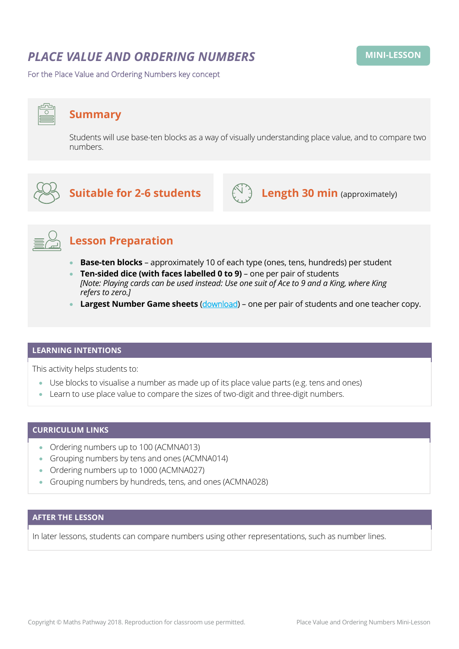# *PLACE VALUE AND ORDERING NUMBERS*

For the Place Value and Ordering Numbers key concept

# **Summary**

Students will use base-ten blocks as a way of visually understanding place value, and to compare two numbers.



# **Suitable for 2-6 students**  $\left(\bigcup_{i=1}^{n} A_i\right)$  **Length 30 min** (approximately)





# **Lesson Preparation**

- **Base-ten blocks** approximately 10 of each type (ones, tens, hundreds) per student
- **Ten-sided dice (with faces labelled 0 to 9)** one per pair of students *[Note: Playing cards can be used instead: Use one suit of Ace to 9 and a King, where King refers to zero.]*
- **Largest Number Game sheets** ([download](https://mpcontent.blob.core.windows.net/mini-lesson-resources/Place%20Value%20and%20Ordering%20Numbers%20-%20Largest%20Number%20Game%20Sheet.pdf)) one per pair of students and one teacher copy.

### **LEARNING INTENTIONS**

This activity helps students to:

- Use blocks to visualise a number as made up of its place value parts (e.g. tens and ones)
- Learn to use place value to compare the sizes of two-digit and three-digit numbers.

## **CURRICULUM LINKS**

- Ordering numbers up to 100 (ACMNA013)
- Grouping numbers by tens and ones (ACMNA014)
- Ordering numbers up to 1000 (ACMNA027)
- Grouping numbers by hundreds, tens, and ones (ACMNA028)

## **AFTER THE LESSON**

In later lessons, students can compare numbers using other representations, such as number lines.